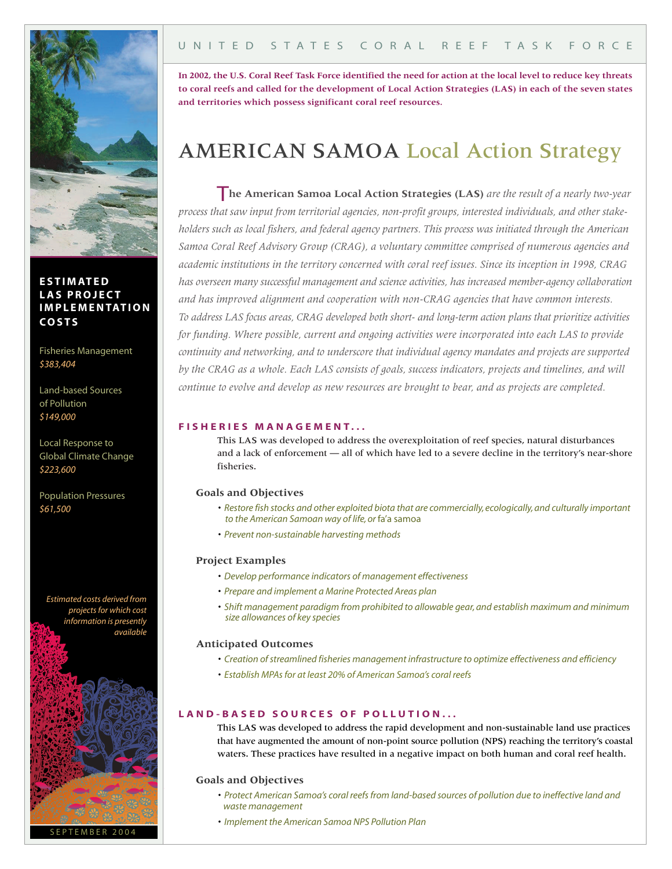

**E S T I M AT ED LAS P R O J E C T I M P L E M ENTAT I O N CO S T S**

Fisheries Management *\$383,404*

Land-based Sources of Pollution *\$149,000*

Local Response to Global Climate Change *\$223,600*

Population Pressures *\$61,500*

*Estimated costs derived from projectsfor which cost information is presently available*



# U N I T E D S T A T E S C O R A L R E E F T A S K F O R C E

In 2002, the U.S. Coral Reef Task Force identified the need for action at the local level to reduce key threats to coral reefs and called for the development of Local Action Strategies (LAS) in each of the seven states **and territories which possess significant coral reef resources.**

# AMERICAN SAMOA Local Action Strategy

T**he American Samoa Local Action Strategies (LAS)** *are the result of <sup>a</sup> nearly two-year process that saw input from territorial agencies, non-profit groups, interested individuals, and other stakeholders such as local fishers, and federal agency partners. This process was initiated through the American Samoa Coral Reef Advisory Group (CRAG), a voluntary committee comprised of numerous agencies and academic institutions in the territory concerned with coral reef issues. Since its inception in 1998, CRAG has overseen many successful management and science activities, has increased member-agency collaboration and has improved alignment and cooperation with non-CRAG agencies that have common interests. To address LAS focus areas, CRAG developed both short- and long-term action plans that prioritize activities for funding. Where possible, current and ongoing activities were incorporated into each LAS to provide continuity and networking, and to underscore that individual agency mandates and projects are supported* by the CRAG as a whole. Each LAS consists of goals, success indicators, projects and timelines, and will *continue to evolve and develop as new resources are brought to bear, and as projects are completed.*

#### **F I S H E R I E S M A N A G E M E N T . . .**

This LAS was developed to address the overexploitation of reef species, natural disturbances and a lack of enforcement — all of which have led to a severe decline in the territory's near-shore fisheries.

## **Goals and Objectives**

- *• Restore fish stocks and other exploited biota that are commercially, ecologically,and culturally important to the American Samoan way of life,or* fa'a samoa
- *• Prevent non-sustainable harvesting methods*

## **Project Examples**

- *• Develop performance indicators of management effectiveness*
- *• Prepare and implement a Marine Protected Areas plan*
- *• Shift management paradigm from prohibited to allowable gear,and establish maximum and minimum size allowances of key species*

#### **Anticipated Outcomes**

- *• Creation ofstreamlined fisheries management infrastructure to optimize effectiveness and efficiency*
- *• Establish MPAsfor at least 20% of American Samoa's coral reefs*

# LAND-BASED SOURCES OF POLLUTION...

This LAS was developed to address the rapid development and non-sustainable land use practices that have augmented the amount of non-point source pollution (NPS) reaching the territory's coastal waters. These practices have resulted in a negative impact on both human and coral reef health.

## **Goals and Objectives**

- *• Protect American Samoa's coral reefsfrom land-based sources of pollution due to ineffective land and waste management*
- *• Implement the American Samoa NPS Pollution Plan*